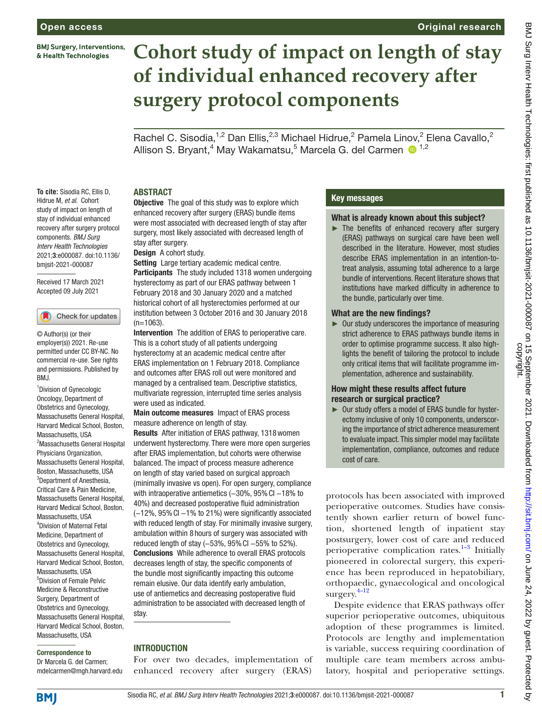**BMJ Surgery, Interventions,** & Health Technologies

# **Cohort study of impact on length of stay of individual enhanced recovery after surgery protocol components**

Rachel C. Sisodia,<sup>1,2</sup> Dan Ellis,<sup>2,3</sup> Michael Hidrue,<sup>2</sup> Pamela Linov,<sup>2</sup> Elena Cavallo,<sup>2</sup> Allison S. Bryant,<sup>4</sup> May Wakamatsu,<sup>5</sup> Marcela G. del Carmen <sup>1,2</sup>

## ABSTRACT

**To cite:** Sisodia RC, Ellis D, Hidrue M, *et al*. Cohort study of impact on length of stay of individual enhanced recovery after surgery protocol components. *BMJ Surg Interv Health Technologies* 2021;3:e000087. doi:10.1136/ bmjsit-2021-000087

Received 17 March 2021 Accepted 09 July 2021



© Author(s) (or their employer(s)) 2021. Re-use permitted under CC BY-NC. No commercial re-use. See rights and permissions. Published by RM<sub>J</sub>

<sup>1</sup> Division of Gynecologic Oncology, Department of Obstetrics and Gynecology, Massachusetts General Hospital, Harvard Medical School, Boston, Massachusetts, USA <sup>2</sup>Massachusetts General Hospital Physicians Organization, Massachusetts General Hospital, Boston, Massachusetts, USA <sup>3</sup>Department of Anesthesia, Critical Care & Pain Medicine, Massachusetts General Hospital, Harvard Medical School, Boston, Massachusetts, USA 4 Division of Maternal Fetal Medicine, Department of Obstetrics and Gynecology, Massachusetts General Hospital, Harvard Medical School, Boston, Massachusetts, USA 5 Division of Female Pelvic Medicine & Reconstructive Surgery, Department of Obstetrics and Gynecology, Massachusetts General Hospital, Harvard Medical School, Boston, Massachusetts, USA

#### Correspondence to

Dr Marcela G. del Carmen; mdelcarmen@mgh.harvard.edu **Objective** The goal of this study was to explore which enhanced recovery after surgery (ERAS) bundle items were most associated with decreased length of stay after surgery, most likely associated with decreased length of stay after surgery.

Design A cohort study.

Setting Large tertiary academic medical centre. Participants The study included 1318 women undergoing hysterectomy as part of our ERAS pathway between 1 February 2018 and 30 January 2020 and a matched historical cohort of all hysterectomies performed at our institution between 3 October 2016 and 30 January 2018  $(n=1063)$ 

Intervention The addition of ERAS to perioperative care. This is a cohort study of all patients undergoing hysterectomy at an academic medical centre after ERAS implementation on 1 February 2018. Compliance and outcomes after ERAS roll out were monitored and managed by a centralised team. Descriptive statistics, multivariate regression, interrupted time series analysis were used as indicated.

Main outcome measures Impact of ERAS process measure adherence on length of stay.

Results After initiation of ERAS pathway, 1318women underwent hysterectomy. There were more open surgeries after ERAS implementation, but cohorts were otherwise balanced. The impact of process measure adherence on length of stay varied based on surgical approach (minimally invasive vs open). For open surgery, compliance with intraoperative antiemetics (-30%, 95% CI -18% to 40%) and decreased postoperative fluid administration (−12%, 95%CI −1% to 21%) were significantly associated with reduced length of stay. For minimally invasive surgery, ambulation within 8 hours of surgery was associated with reduced length of stay (-53%, 95% Cl -55% to 52%). Conclusions While adherence to overall ERAS protocols decreases length of stay, the specific components of the bundle most significantly impacting this outcome remain elusive. Our data identify early ambulation, use of antiemetics and decreasing postoperative fluid administration to be associated with decreased length of stay.

#### INTRODUCTION

For over two decades, implementation of enhanced recovery after surgery (ERAS)

#### Key messages

#### What is already known about this subject?

Original research

► The benefits of enhanced recovery after surgery (ERAS) pathways on surgical care have been well described in the literature. However, most studies describe ERAS implementation in an intention-totreat analysis, assuming total adherence to a large bundle of interventions. Recent literature shows that institutions have marked difficulty in adherence to the bundle, particularly over time.

#### What are the new findings?

► Our study underscores the importance of measuring strict adherence to ERAS pathways bundle items in order to optimise programme success. It also highlights the benefit of tailoring the protocol to include only critical items that will facilitate programme implementation, adherence and sustainability.

#### How might these results affect future research or surgical practice?

► Our study offers a model of ERAS bundle for hysterectomy inclusive of only 10 components, underscoring the importance of strict adherence measurement to evaluate impact. This simpler model may facilitate implementation, compliance, outcomes and reduce cost of care.

protocols has been associated with improved perioperative outcomes. Studies have consistently shown earlier return of bowel function, shortened length of inpatient stay postsurgery, lower cost of care and reduced perioperative complication rates. $1-3$  Initially pioneered in colorectal surgery, this experience has been reproduced in hepatobiliary, orthopaedic, gynaecological and oncological surgery.[4–12](#page-7-1)

Despite evidence that ERAS pathways offer superior perioperative outcomes, ubiquitous adoption of these programmes is limited. Protocols are lengthy and implementation is variable, success requiring coordination of multiple care team members across ambulatory, hospital and perioperative settings.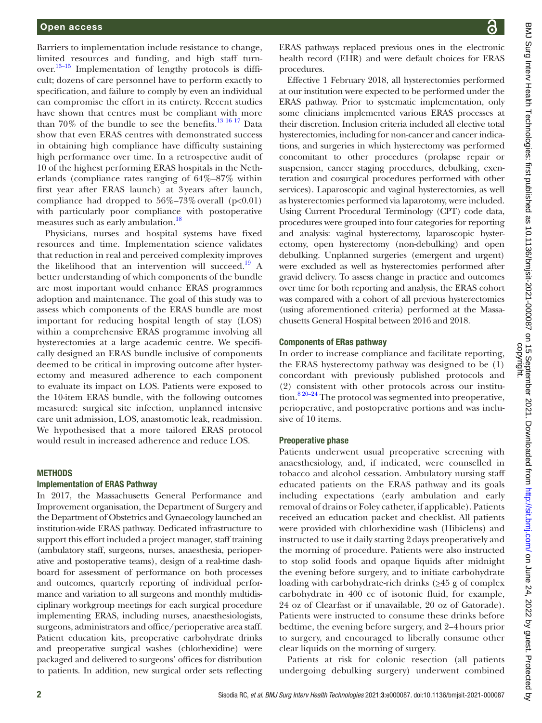Barriers to implementation include resistance to change, limited resources and funding, and high staff turnover.<sup>13-15</sup> Implementation of lengthy protocols is difficult; dozens of care personnel have to perform exactly to specification, and failure to comply by even an individual can compromise the effort in its entirety. Recent studies have shown that centres must be compliant with more than 70% of the bundle to see the benefits.<sup>[13 16 17](#page-7-2)</sup> Data show that even ERAS centres with demonstrated success in obtaining high compliance have difficulty sustaining high performance over time. In a retrospective audit of 10 of the highest performing ERAS hospitals in the Netherlands (compliance rates ranging of 64%–87% within first year after ERAS launch) at 3years after launch, compliance had dropped to  $56\% - 73\%$  overall (p<0.01) with particularly poor compliance with postoperative measures such as early ambulation.<sup>18</sup>

Physicians, nurses and hospital systems have fixed resources and time. Implementation science validates that reduction in real and perceived complexity improves the likelihood that an intervention will succeed.<sup>19</sup> A better understanding of which components of the bundle are most important would enhance ERAS programmes adoption and maintenance. The goal of this study was to assess which components of the ERAS bundle are most important for reducing hospital length of stay (LOS) within a comprehensive ERAS programme involving all hysterectomies at a large academic centre. We specifically designed an ERAS bundle inclusive of components deemed to be critical in improving outcome after hysterectomy and measured adherence to each component to evaluate its impact on LOS. Patients were exposed to the 10-item ERAS bundle, with the following outcomes measured: surgical site infection, unplanned intensive care unit admission, LOS, anastomotic leak, readmission. We hypothesised that a more tailored ERAS protocol would result in increased adherence and reduce LOS.

#### **METHODS**

#### Implementation of ERAS Pathway

In 2017, the Massachusetts General Performance and Improvement organisation, the Department of Surgery and the Department of Obstetrics and Gynaecology launched an institution-wide ERAS pathway. Dedicated infrastructure to support this effort included a project manager, staff training (ambulatory staff, surgeons, nurses, anaesthesia, perioperative and postoperative teams), design of a real-time dashboard for assessment of performance on both processes and outcomes, quarterly reporting of individual performance and variation to all surgeons and monthly multidisciplinary workgroup meetings for each surgical procedure implementing ERAS, including nurses, anaesthesiologists, surgeons, administrators and office/perioperative area staff. Patient education kits, preoperative carbohydrate drinks and preoperative surgical washes (chlorhexidine) were packaged and delivered to surgeons' offices for distribution to patients. In addition, new surgical order sets reflecting

BMJ Surg Interv Health Technologies: first published as 10.1136/bmjsit-2021-000087 on 15 September 2021. Downloaded from http://sit.bmj.com/ on June 24, 2022 by guest. Protected by<br>copyright. BMJ Surg Interv Health Technologies: first published as 10.1136/bmjsit-2021-000087 on 15 September 2021. Downloaded from <http://sit.bmj.com/> on June 24, 2022 by guest. Protected by

ERAS pathways replaced previous ones in the electronic health record (EHR) and were default choices for ERAS procedures.

Effective 1 February 2018, all hysterectomies performed at our institution were expected to be performed under the ERAS pathway. Prior to systematic implementation, only some clinicians implemented various ERAS processes at their discretion. Inclusion criteria included all elective total hysterectomies, including for non-cancer and cancer indications, and surgeries in which hysterectomy was performed concomitant to other procedures (prolapse repair or suspension, cancer staging procedures, debulking, exenteration and cosurgical procedures performed with other services). Laparoscopic and vaginal hysterectomies, as well as hysterectomies performed via laparotomy, were included. Using Current Procedural Terminology (CPT) code data, procedures were grouped into four categories for reporting and analysis: vaginal hysterectomy, laparoscopic hysterectomy, open hysterectomy (non-debulking) and open debulking. Unplanned surgeries (emergent and urgent) were excluded as well as hysterectomies performed after gravid delivery. To assess change in practice and outcomes over time for both reporting and analysis, the ERAS cohort was compared with a cohort of all previous hysterectomies (using aforementioned criteria) performed at the Massachusetts General Hospital between 2016 and 2018.

#### Components of ERas pathway

In order to increase compliance and facilitate reporting, the ERAS hysterectomy pathway was designed to be (1) concordant with previously published protocols and (2) consistent with other protocols across our institution.<sup>8 20-24</sup> The protocol was segmented into preoperative, perioperative, and postoperative portions and was inclusive of 10 items.

#### Preoperative phase

Patients underwent usual preoperative screening with anaesthesiology, and, if indicated, were counselled in tobacco and alcohol cessation. Ambulatory nursing staff educated patients on the ERAS pathway and its goals including expectations (early ambulation and early removal of drains or Foley catheter, if applicable). Patients received an education packet and checklist. All patients were provided with chlorhexidine wash (Hibiclens) and instructed to use it daily starting 2days preoperatively and the morning of procedure. Patients were also instructed to stop solid foods and opaque liquids after midnight the evening before surgery, and to initiate carbohydrate loading with carbohydrate-rich drinks  $(\geq 45 \text{ g of complex})$ carbohydrate in 400 cc of isotonic fluid, for example, 24 oz of Clearfast or if unavailable, 20 oz of Gatorade). Patients were instructed to consume these drinks before bedtime, the evening before surgery, and 2–4hours prior to surgery, and encouraged to liberally consume other clear liquids on the morning of surgery.

Patients at risk for colonic resection (all patients undergoing debulking surgery) underwent combined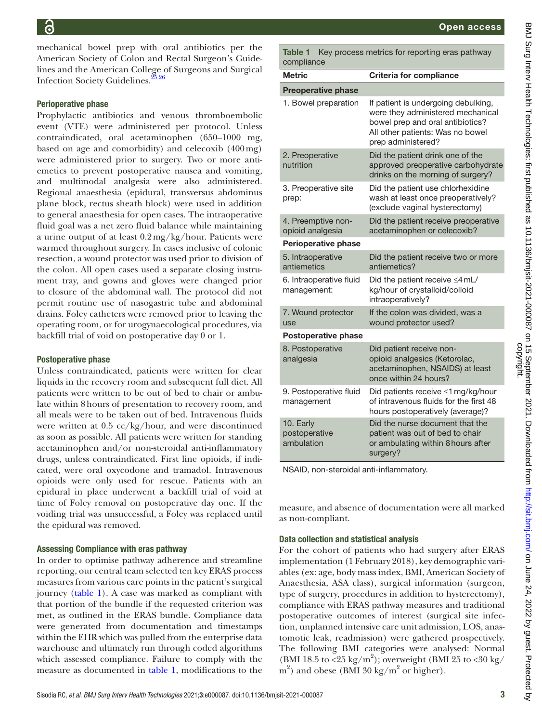mechanical bowel prep with oral antibiotics per the American Society of Colon and Rectal Surgeon's Guidelines and the American College of Surgeons and Surgical Infection Society Guidelines.<sup>25</sup> 26

## Perioperative phase

Prophylactic antibiotics and venous thromboembolic event (VTE) were administered per protocol. Unless contraindicated, oral acetaminophen (650–1000 mg, based on age and comorbidity) and celecoxib (400mg) were administered prior to surgery. Two or more antiemetics to prevent postoperative nausea and vomiting, and multimodal analgesia were also administered. Regional anaesthesia (epidural, transversus abdominus plane block, rectus sheath block) were used in addition to general anaesthesia for open cases. The intraoperative fluid goal was a net zero fluid balance while maintaining a urine output of at least 0.2mg/kg/hour. Patients were warmed throughout surgery. In cases inclusive of colonic resection, a wound protector was used prior to division of the colon. All open cases used a separate closing instrument tray, and gowns and gloves were changed prior to closure of the abdominal wall. The protocol did not permit routine use of nasogastric tube and abdominal drains. Foley catheters were removed prior to leaving the operating room, or for urogynaecological procedures, via backfill trial of void on postoperative day 0 or 1.

# Postoperative phase

Unless contraindicated, patients were written for clear liquids in the recovery room and subsequent full diet. All patients were written to be out of bed to chair or ambulate within 8hours of presentation to recovery room, and all meals were to be taken out of bed. Intravenous fluids were written at 0.5 cc/kg/hour, and were discontinued as soon as possible. All patients were written for standing acetaminophen and/or non-steroidal anti-inflammatory drugs, unless contraindicated. First line opioids, if indicated, were oral oxycodone and tramadol. Intravenous opioids were only used for rescue. Patients with an epidural in place underwent a backfill trial of void at time of Foley removal on postoperative day one. If the voiding trial was unsuccessful, a Foley was replaced until the epidural was removed.

# Assessing Compliance with eras pathway

In order to optimise pathway adherence and streamline reporting, our central team selected ten key ERAS process measures from various care points in the patient's surgical journey ([table](#page-2-0) 1). A case was marked as compliant with that portion of the bundle if the requested criterion was met, as outlined in the ERAS bundle. Compliance data were generated from documentation and timestamps within the EHR which was pulled from the enterprise data warehouse and ultimately run through coded algorithms which assessed compliance. Failure to comply with the measure as documented in [table](#page-2-0) 1, modifications to the

 $\mathbf{\overline{u}}$ 

| 3MJ Surg Interv Health Technologies: first published as 10.1136/bmjsit-2021-000087 on 15 September 2021. Dow |
|--------------------------------------------------------------------------------------------------------------|
|                                                                                                              |
|                                                                                                              |
|                                                                                                              |
|                                                                                                              |
|                                                                                                              |
|                                                                                                              |
|                                                                                                              |
|                                                                                                              |
|                                                                                                              |
|                                                                                                              |
|                                                                                                              |
|                                                                                                              |
|                                                                                                              |
|                                                                                                              |
|                                                                                                              |
|                                                                                                              |
|                                                                                                              |
|                                                                                                              |
|                                                                                                              |
|                                                                                                              |
|                                                                                                              |
|                                                                                                              |
|                                                                                                              |
|                                                                                                              |
|                                                                                                              |
|                                                                                                              |
|                                                                                                              |
|                                                                                                              |
|                                                                                                              |
|                                                                                                              |
|                                                                                                              |
|                                                                                                              |
|                                                                                                              |
|                                                                                                              |
|                                                                                                              |
|                                                                                                              |
|                                                                                                              |
|                                                                                                              |
|                                                                                                              |
|                                                                                                              |
|                                                                                                              |
|                                                                                                              |
|                                                                                                              |
|                                                                                                              |
|                                                                                                              |
|                                                                                                              |
|                                                                                                              |
|                                                                                                              |
|                                                                                                              |
|                                                                                                              |
|                                                                                                              |
|                                                                                                              |

<span id="page-2-0"></span>Table 1 Key process metrics for reporting eras pathway compliance Metric **Criteria for compliance** Preoperative phase 1. Bowel preparation If patient is undergoing debulking,

|  | 1. Bowel preparation                     | If patient is undergoing debulking,<br>were they administered mechanical<br>bowel prep and oral antibiotics?<br>All other patients: Was no bowel<br>prep administered? |
|--|------------------------------------------|------------------------------------------------------------------------------------------------------------------------------------------------------------------------|
|  | 2. Preoperative<br>nutrition             | Did the patient drink one of the<br>approved preoperative carbohydrate<br>drinks on the morning of surgery?                                                            |
|  | 3. Preoperative site<br>prep:            | Did the patient use chlorhexidine<br>wash at least once preoperatively?<br>(exclude vaginal hysterectomy)                                                              |
|  | 4. Preemptive non-<br>opioid analgesia   | Did the patient receive preoperative<br>acetaminophen or celecoxib?                                                                                                    |
|  | <b>Perioperative phase</b>               |                                                                                                                                                                        |
|  | 5. Intraoperative<br>antiemetics         | Did the patient receive two or more<br>antiemetics?                                                                                                                    |
|  | 6. Intraoperative fluid<br>management:   | Did the patient receive $\leq$ 4 mL/<br>kg/hour of crystalloid/colloid<br>intraoperatively?                                                                            |
|  | 7. Wound protector<br>use                | If the colon was divided, was a<br>wound protector used?                                                                                                               |
|  | <b>Postoperative phase</b>               |                                                                                                                                                                        |
|  | 8. Postoperative<br>analgesia            | Did patient receive non-<br>opioid analgesics (Ketorolac,<br>acetaminophen, NSAIDS) at least<br>once within 24 hours?                                                  |
|  | 9. Postoperative fluid<br>management     | Did patients receive ≤1 mg/kg/hour<br>of intravenous fluids for the first 48<br>hours postoperatively (average)?                                                       |
|  | 10. Early<br>postoperative<br>ambulation | Did the nurse document that the<br>patient was out of bed to chair<br>or ambulating within 8 hours after<br>surgery?                                                   |
|  |                                          |                                                                                                                                                                        |

NSAID, non-steroidal anti-inflammatory.

measure, and absence of documentation were all marked as non-compliant.

# Data collection and statistical analysis

For the cohort of patients who had surgery after ERAS implementation (1 February 2018), key demographic variables (ex: age, body mass index, BMI, American Society of Anaesthesia, ASA class), surgical information (surgeon, type of surgery, procedures in addition to hysterectomy), compliance with ERAS pathway measures and traditional postoperative outcomes of interest (surgical site infection, unplanned intensive care unit admission, LOS, anastomotic leak, readmission) were gathered prospectively. The following BMI categories were analysed: Normal (BMI 18.5 to <25 kg/m<sup>2</sup>); overweight (BMI 25 to <30 kg/  $\text{m}^2$ ) and obese (BMI 30 kg/m<sup>2</sup> or higher).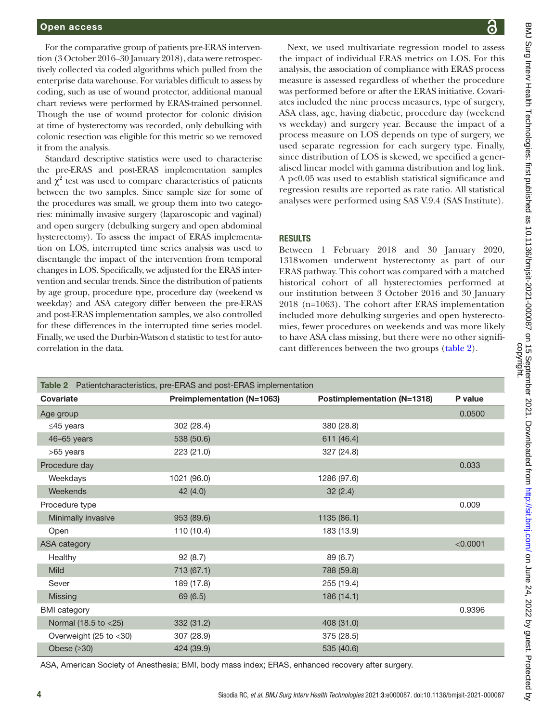For the comparative group of patients pre-ERAS intervention (3 October 2016–30 January 2018), data were retrospectively collected via coded algorithms which pulled from the enterprise data warehouse. For variables difficult to assess by coding, such as use of wound protector, additional manual chart reviews were performed by ERAS-trained personnel. Though the use of wound protector for colonic division at time of hysterectomy was recorded, only debulking with colonic resection was eligible for this metric so we removed it from the analysis.

Standard descriptive statistics were used to characterise the pre-ERAS and post-ERAS implementation samples and  $\chi^2$  test was used to compare characteristics of patients between the two samples. Since sample size for some of the procedures was small, we group them into two categories: minimally invasive surgery (laparoscopic and vaginal) and open surgery (debulking surgery and open abdominal hysterectomy). To assess the impact of ERAS implementation on LOS, interrupted time series analysis was used to disentangle the impact of the intervention from temporal changes in LOS. Specifically, we adjusted for the ERAS intervention and secular trends. Since the distribution of patients by age group, procedure type, procedure day (weekend vs weekday) and ASA category differ between the pre-ERAS and post-ERAS implementation samples, we also controlled for these differences in the interrupted time series model. Finally, we used the Durbin-Watson d statistic to test for autocorrelation in the data.

Next, we used multivariate regression model to assess the impact of individual ERAS metrics on LOS. For this analysis, the association of compliance with ERAS process measure is assessed regardless of whether the procedure was performed before or after the ERAS initiative. Covariates included the nine process measures, type of surgery, ASA class, age, having diabetic, procedure day (weekend vs weekday) and surgery year. Because the impact of a process measure on LOS depends on type of surgery, we used separate regression for each surgery type. Finally, since distribution of LOS is skewed, we specified a generalised linear model with gamma distribution and log link. A p<0.05 was used to establish statistical significance and regression results are reported as rate ratio. All statistical analyses were performed using SAS V.9.4 (SAS Institute).

#### RESULTS

Between 1 February 2018 and 30 January 2020, 1318women underwent hysterectomy as part of our ERAS pathway. This cohort was compared with a matched historical cohort of all hysterectomies performed at our institution between 3 October 2016 and 30 January 2018 (n=1063). The cohort after ERAS implementation included more debulking surgeries and open hysterectomies, fewer procedures on weekends and was more likely to have ASA class missing, but there were no other significant differences between the two groups [\(table](#page-3-0) 2).

<span id="page-3-0"></span>

| <b>Table 2</b> Patientcharacteristics, pre-ERAS and post-ERAS implementation |                            |                             |          |  |  |
|------------------------------------------------------------------------------|----------------------------|-----------------------------|----------|--|--|
| Covariate                                                                    | Preimplementation (N=1063) | Postimplementation (N=1318) | P value  |  |  |
| Age group                                                                    |                            |                             | 0.0500   |  |  |
| $\leq$ 45 years                                                              | 302 (28.4)                 | 380 (28.8)                  |          |  |  |
| 46-65 years                                                                  | 538 (50.6)                 | 611 (46.4)                  |          |  |  |
| >65 years                                                                    | 223 (21.0)                 | 327 (24.8)                  |          |  |  |
| Procedure day                                                                |                            |                             | 0.033    |  |  |
| Weekdays                                                                     | 1021 (96.0)                | 1286 (97.6)                 |          |  |  |
| Weekends                                                                     | 42(4.0)                    | 32(2.4)                     |          |  |  |
| Procedure type                                                               |                            |                             | 0.009    |  |  |
| Minimally invasive                                                           | 953 (89.6)                 | 1135 (86.1)                 |          |  |  |
| Open                                                                         | 110 (10.4)                 | 183 (13.9)                  |          |  |  |
| <b>ASA</b> category                                                          |                            |                             | < 0.0001 |  |  |
| Healthy                                                                      | 92(8.7)                    | 89 (6.7)                    |          |  |  |
| <b>Mild</b>                                                                  | 713 (67.1)                 | 788 (59.8)                  |          |  |  |
| Sever                                                                        | 189 (17.8)                 | 255 (19.4)                  |          |  |  |
| Missing                                                                      | 69 (6.5)                   | 186 (14.1)                  |          |  |  |
| <b>BMI</b> category                                                          |                            |                             | 0.9396   |  |  |
| Normal (18.5 to <25)                                                         | 332 (31.2)                 | 408 (31.0)                  |          |  |  |
| Overweight (25 to <30)                                                       | 307 (28.9)                 | 375 (28.5)                  |          |  |  |
| Obese $(≥30)$                                                                | 424 (39.9)                 | 535 (40.6)                  |          |  |  |

ASA, American Society of Anesthesia; BMI, body mass index; ERAS, enhanced recovery after surgery.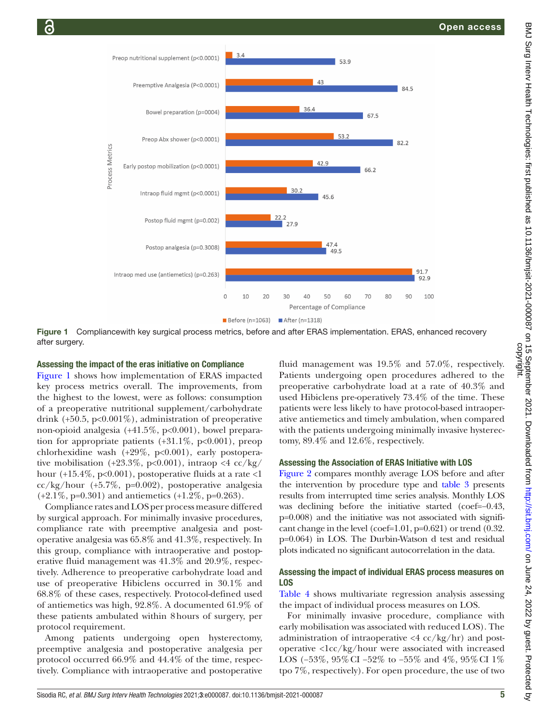

Figure 1 Compliancewith key surgical process metrics, before and after ERAS implementation. ERAS, enhanced recovery after surgery.

#### Assessing the impact of the eras initiative on Compliance

[Figure](#page-4-0) 1 shows how implementation of ERAS impacted key process metrics overall. The improvements, from the highest to the lowest, were as follows: consumption of a preoperative nutritional supplement/carbohydrate drink  $(+50.5, p<0.001\%)$ , administration of preoperative non-opioid analgesia (+41.5%, p<0.001), bowel preparation for appropriate patients  $(+31.1\% , p<0.001)$ , preop chlorhexidine wash  $(+29\%, p<0.001)$ , early postoperative mobilisation (+23.3%, p<0.001), intraop <4  $cc/kg/$ hour  $(+15.4\%, p<0.001)$ , postoperative fluids at a rate  $<$ 1 cc/kg/hour (+5.7%, p=0.002), postoperative analgesia  $(+2.1\%, p=0.301)$  and antiemetics  $(+1.2\%, p=0.263)$ .

Compliance rates and LOS per process measure differed by surgical approach. For minimally invasive procedures, compliance rate with preemptive analgesia and postoperative analgesia was 65.8% and 41.3%, respectively. In this group, compliance with intraoperative and postoperative fluid management was 41.3% and 20.9%, respectively. Adherence to preoperative carbohydrate load and use of preoperative Hibiclens occurred in 30.1% and 68.8% of these cases, respectively. Protocol-defined used of antiemetics was high, 92.8%. A documented 61.9% of these patients ambulated within 8hours of surgery, per protocol requirement.

Among patients undergoing open hysterectomy, preemptive analgesia and postoperative analgesia per protocol occurred 66.9% and 44.4% of the time, respectively. Compliance with intraoperative and postoperative

<span id="page-4-0"></span>fluid management was 19.5% and 57.0%, respectively. Patients undergoing open procedures adhered to the preoperative carbohydrate load at a rate of 40.3% and used Hibiclens pre-operatively 73.4% of the time. These patients were less likely to have protocol-based intraoperative antiemetics and timely ambulation, when compared with the patients undergoing minimally invasive hysterectomy, 89.4% and 12.6%, respectively.

## Assessing the Association of ERAS Initiative with LOS

[Figure](#page-5-0) 2 compares monthly average LOS before and after the intervention by procedure type and [table](#page-5-1) 3 presents results from interrupted time series analysis. Monthly LOS was declining before the initiative started (coef=−0.43, p=0.008) and the initiative was not associated with significant change in the level (coef=1.01, p=0.621) or trend (0.32. p=0.064) in LOS. The Durbin-Watson d test and residual plots indicated no significant autocorrelation in the data.

## Assessing the impact of individual ERAS process measures on LOS

[Table](#page-6-0) 4 shows multivariate regression analysis assessing the impact of individual process measures on LOS.

For minimally invasive procedure, compliance with early mobilisation was associated with reduced LOS). The administration of intraoperative  $\langle 4 \csc/kg/hr \rangle$  and postoperative <1cc/kg/hour were associated with increased LOS (−53%, 95%CI −52% to −55% and 4%, 95%CI 1% tpo 7%, respectively). For open procedure, the use of two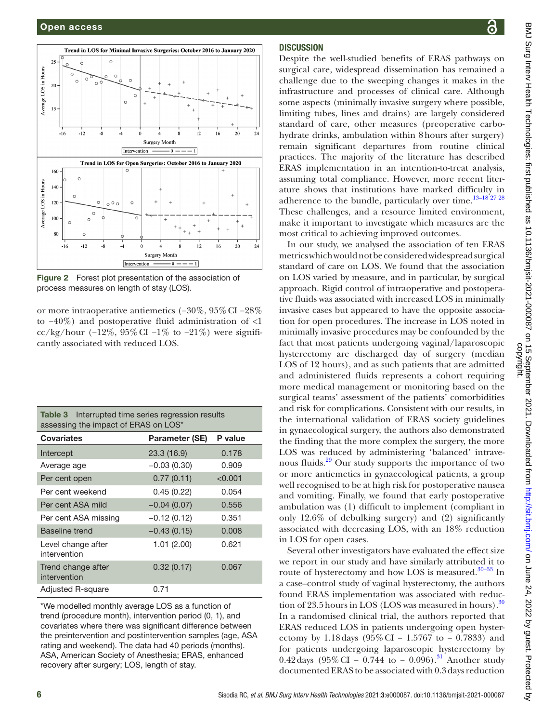

<span id="page-5-0"></span>Figure 2 Forest plot presentation of the association of process measures on length of stay (LOS).

or more intraoperative antiemetics (−30%, 95%CI −28% to −40%) and postoperative fluid administration of <1 cc/kg/hour (-12%, 95% CI -1% to -21%) were significantly associated with reduced LOS.

<span id="page-5-1"></span>

| <b>Table 3</b> Interrupted time series regression results<br>assessing the impact of ERAS on LOS* |                       |         |  |  |  |
|---------------------------------------------------------------------------------------------------|-----------------------|---------|--|--|--|
| <b>Covariates</b>                                                                                 | <b>Parameter (SE)</b> | P value |  |  |  |
| Intercept                                                                                         | 23.3(16.9)            | 0.178   |  |  |  |
| Average age                                                                                       | $-0.03(0.30)$         | 0.909   |  |  |  |
| Per cent open                                                                                     | 0.77(0.11)            | < 0.001 |  |  |  |
| Per cent weekend                                                                                  | 0.45(0.22)            | 0.054   |  |  |  |
| Per cent ASA mild                                                                                 | $-0.04(0.07)$         | 0.556   |  |  |  |
| Per cent ASA missing                                                                              | $-0.12(0.12)$         | 0.351   |  |  |  |
| <b>Baseline trend</b>                                                                             | $-0.43(0.15)$         | 0.008   |  |  |  |
| Level change after<br>intervention                                                                | 1.01(2.00)            | 0.621   |  |  |  |
| Trend change after<br>intervention                                                                | 0.32(0.17)            | 0.067   |  |  |  |
| Adjusted R-square                                                                                 | 0.71                  |         |  |  |  |

\*We modelled monthly average LOS as a function of trend (procedure month), intervention period (0, 1), and covariates where there was significant difference between the preintervention and postintervention samples (age, ASA rating and weekend). The data had 40 periods (months). ASA, American Society of Anesthesia; ERAS, enhanced recovery after surgery; LOS, length of stay.

# ဥ

# **DISCUSSION**

Despite the well-studied benefits of ERAS pathways on surgical care, widespread dissemination has remained a challenge due to the sweeping changes it makes in the infrastructure and processes of clinical care. Although some aspects (minimally invasive surgery where possible, limiting tubes, lines and drains) are largely considered standard of care, other measures (preoperative carbohydrate drinks, ambulation within 8hours after surgery) remain significant departures from routine clinical practices. The majority of the literature has described ERAS implementation in an intention-to-treat analysis, assuming total compliance. However, more recent literature shows that institutions have marked difficulty in adherence to the bundle, particularly over time. $13-18^{27}$  28 These challenges, and a resource limited environment, make it important to investigate which measures are the most critical to achieving improved outcomes.

In our study, we analysed the association of ten ERAS metrics which would not be considered widespread surgical standard of care on LOS. We found that the association on LOS varied by measure, and in particular, by surgical approach. Rigid control of intraoperative and postoperative fluids was associated with increased LOS in minimally invasive cases but appeared to have the opposite association for open procedures. The increase in LOS noted in minimally invasive procedures may be confounded by the fact that most patients undergoing vaginal/laparoscopic hysterectomy are discharged day of surgery (median LOS of 12 hours), and as such patients that are admitted and administered fluids represents a cohort requiring more medical management or monitoring based on the surgical teams' assessment of the patients' comorbidities and risk for complications. Consistent with our results, in the international validation of ERAS society guidelines in gynaecological surgery, the authors also demonstrated the finding that the more complex the surgery, the more LOS was reduced by administering 'balanced' intravenous fluids.<sup>29</sup> Our study supports the importance of two or more antiemetics in gynaecological patients, a group well recognised to be at high risk for postoperative nausea and vomiting. Finally, we found that early postoperative ambulation was (1) difficult to implement (compliant in only 12.6% of debulking surgery) and (2) significantly associated with decreasing LOS, with an 18% reduction in LOS for open cases.

Several other investigators have evaluated the effect size we report in our study and have similarly attributed it to route of hysterectomy and how LOS is measured.<sup>30–33</sup> In a case–control study of vaginal hysterectomy, the authors found ERAS implementation was associated with reduc-tion of 23.5 hours in LOS (LOS was measured in hours).<sup>[30](#page-7-8)</sup> In a randomised clinical trial, the authors reported that ERAS reduced LOS in patients undergoing open hysterectomy by 1.18 days (95% CI – 1.5767 to – 0.7833) and for patients undergoing laparoscopic hysterectomy by 0.42 days (95% CI – 0.744 to – 0.096).<sup>31</sup> Another study documented ERAS to be associated with 0.3days reduction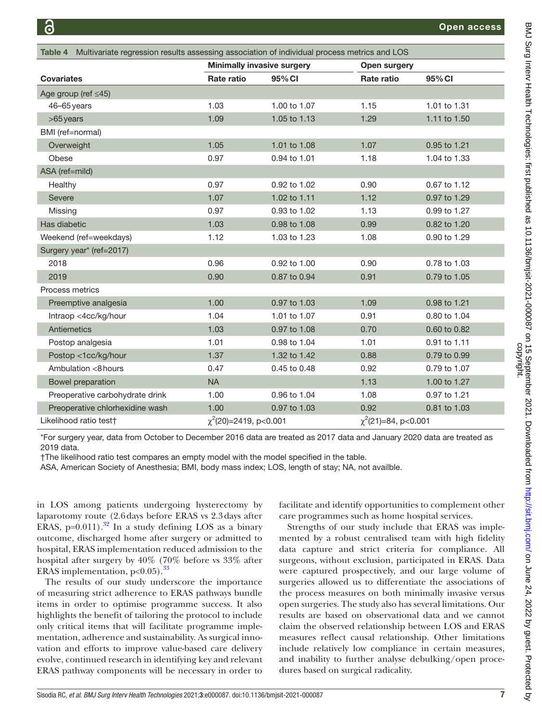<span id="page-6-0"></span>

| Multivariate regression results assessing association of individual process metrics and LOS<br>Table 4 |            |                                   |            |              |  |  |
|--------------------------------------------------------------------------------------------------------|------------|-----------------------------------|------------|--------------|--|--|
|                                                                                                        |            | <b>Minimally invasive surgery</b> |            | Open surgery |  |  |
| <b>Covariates</b>                                                                                      | Rate ratio | 95% CI                            | Rate ratio | 95% CI       |  |  |
| Age group (ref $\leq$ 45)                                                                              |            |                                   |            |              |  |  |
| 46-65 years                                                                                            | 1.03       | 1.00 to 1.07                      | 1.15       | 1.01 to 1.31 |  |  |
| $>65$ years                                                                                            | 1.09       | 1.05 to 1.13                      | 1.29       | 1.11 to 1.50 |  |  |
| BMI (ref=normal)                                                                                       |            |                                   |            |              |  |  |
| Overweight                                                                                             | 1.05       | 1.01 to 1.08                      | 1.07       | 0.95 to 1.21 |  |  |
| Obese                                                                                                  | 0.97       | 0.94 to 1.01                      | 1.18       | 1.04 to 1.33 |  |  |
| ASA (ref=mild)                                                                                         |            |                                   |            |              |  |  |
| Healthy                                                                                                | 0.97       | 0.92 to 1.02                      | 0.90       | 0.67 to 1.12 |  |  |
| Severe                                                                                                 | 1.07       | 1.02 to 1.11                      | 1.12       | 0.97 to 1.29 |  |  |
| Missing                                                                                                | 0.97       | 0.93 to 1.02                      | 1.13       | 0.99 to 1.27 |  |  |
| Has diabetic                                                                                           | 1.03       | 0.98 to 1.08                      | 0.99       | 0.82 to 1.20 |  |  |
| Weekend (ref=weekdays)                                                                                 | 1.12       | 1.03 to 1.23                      | 1.08       | 0.90 to 1.29 |  |  |
| Surgery year* (ref=2017)                                                                               |            |                                   |            |              |  |  |
| 2018                                                                                                   | 0.96       | 0.92 to 1.00                      | 0.90       | 0.78 to 1.03 |  |  |
| 2019                                                                                                   | 0.90       | 0.87 to 0.94                      | 0.91       | 0.79 to 1.05 |  |  |
| Process metrics                                                                                        |            |                                   |            |              |  |  |
| Preemptive analgesia                                                                                   | 1.00       | 0.97 to 1.03                      | 1.09       | 0.98 to 1.21 |  |  |
| Intraop <4cc/kg/hour                                                                                   | 1.04       | 1.01 to 1.07                      | 0.91       | 0.80 to 1.04 |  |  |
| Antiemetics                                                                                            | 1.03       | 0.97 to 1.08                      | 0.70       | 0.60 to 0.82 |  |  |
| Postop analgesia                                                                                       | 1.01       | 0.98 to 1.04                      | 1.01       | 0.91 to 1.11 |  |  |
| Postop <1cc/kg/hour                                                                                    | 1.37       | 1.32 to 1.42                      | 0.88       | 0.79 to 0.99 |  |  |
| Ambulation <8 hours                                                                                    | 0.47       | 0.45 to 0.48                      | 0.92       | 0.79 to 1.07 |  |  |
| Bowel preparation                                                                                      | <b>NA</b>  |                                   | 1.13       | 1.00 to 1.27 |  |  |
| Preoperative carbohydrate drink                                                                        | 1.00       | 0.96 to 1.04                      | 1.08       | 0.97 to 1.21 |  |  |
| Preoperative chlorhexidine wash                                                                        | 1.00       | 0.97 to 1.03                      | 0.92       | 0.81 to 1.03 |  |  |
| Likelihood ratio test+<br>$\chi^2(20)$ =2419, p<0.001                                                  |            | $\chi^2$ (21)=84, p<0.001         |            |              |  |  |

\*For surgery year, data from October to December 2016 data are treated as 2017 data and January 2020 data are treated as 2019 data.

†The likelihood ratio test compares an empty model with the model specified in the table.

ASA, American Society of Anesthesia; BMI, body mass index; LOS, length of stay; NA, not availble.

in LOS among patients undergoing hysterectomy by laparotomy route (2.6days before ERAS vs 2.3days after ERAS,  $p=0.011$ ).<sup>[32](#page-7-10)</sup> In a study defining LOS as a binary outcome, discharged home after surgery or admitted to hospital, ERAS implementation reduced admission to the hospital after surgery by 40% (70% before vs 33% after ERAS implementation,  $p<0.05$ ).<sup>[33](#page-7-11)</sup>

The results of our study underscore the importance of measuring strict adherence to ERAS pathways bundle items in order to optimise programme success. It also highlights the benefit of tailoring the protocol to include only critical items that will facilitate programme implementation, adherence and sustainability. As surgical innovation and efforts to improve value-based care delivery evolve, continued research in identifying key and relevant ERAS pathway components will be necessary in order to

facilitate and identify opportunities to complement other care programmes such as home hospital services.

Strengths of our study include that ERAS was implemented by a robust centralised team with high fidelity data capture and strict criteria for compliance. All surgeons, without exclusion, participated in ERAS. Data were captured prospectively, and our large volume of surgeries allowed us to differentiate the associations of the process measures on both minimally invasive versus open surgeries. The study also has several limitations. Our results are based on observational data and we cannot claim the observed relationship between LOS and ERAS measures reflect causal relationship. Other limitations include relatively low compliance in certain measures, and inability to further analyse debulking/open procedures based on surgical radicality.